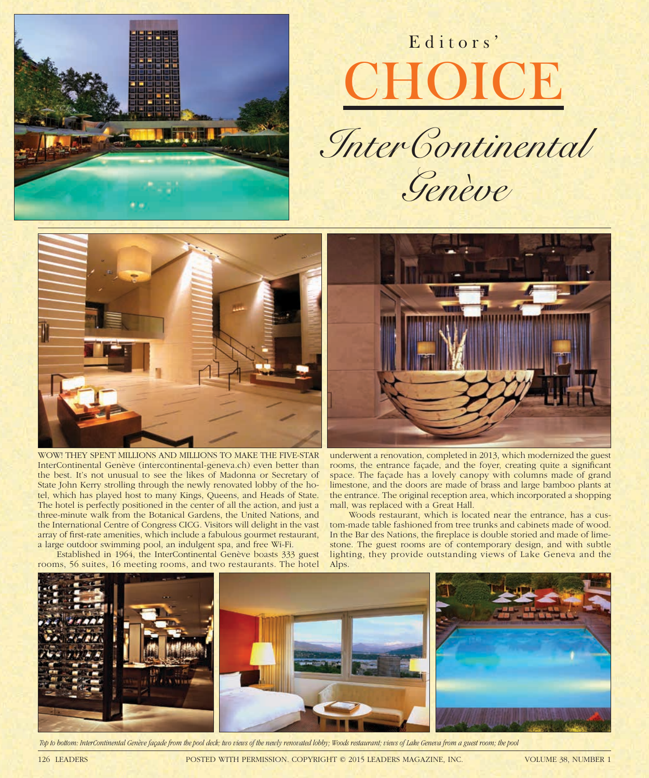

## Editors' **CHOICE**





WOW! THEY SPENT MILLIONS AND MILLIONS TO MAKE THE FIVE-STAR InterContinental Genève (intercontinental-geneva.ch) even better than the best. It's not unusual to see the likes of Madonna or Secretary of State John Kerry strolling through the newly renovated lobby of the hotel, which has played host to many Kings, Queens, and Heads of State. The hotel is perfectly positioned in the center of all the action, and just a three-minute walk from the Botanical Gardens, the United Nations, and the International Centre of Congress CICG. Visitors will delight in the vast array of first-rate amenities, which include a fabulous gourmet restaurant, a large outdoor swimming pool, an indulgent spa, and free Wi-Fi.

Established in 1964, the InterContinental Genève boasts 333 guest rooms, 56 suites, 16 meeting rooms, and two restaurants. The hotel



underwent a renovation, completed in 2013, which modernized the guest rooms, the entrance façade, and the foyer, creating quite a significant space. The façade has a lovely canopy with columns made of grand limestone, and the doors are made of brass and large bamboo plants at the entrance. The original reception area, which incorporated a shopping mall, was replaced with a Great Hall.

Woods restaurant, which is located near the entrance, has a custom-made table fashioned from tree trunks and cabinets made of wood. In the Bar des Nations, the fireplace is double storied and made of limestone. The guest rooms are of contemporary design, and with subtle lighting, they provide outstanding views of Lake Geneva and the Alps.



 *Top to bottom: InterContinental Genève façade from the pool deck; two views of the newly renovated lobby; Woods restaurant; views of Lake Geneva from a guest room; the pool*

126 LEADERS POSTED WITH PERMISSION. COPYRIGHT © 2015 LEADERS MAGAZINE, INC. VOLUME 38, NUMBER 1